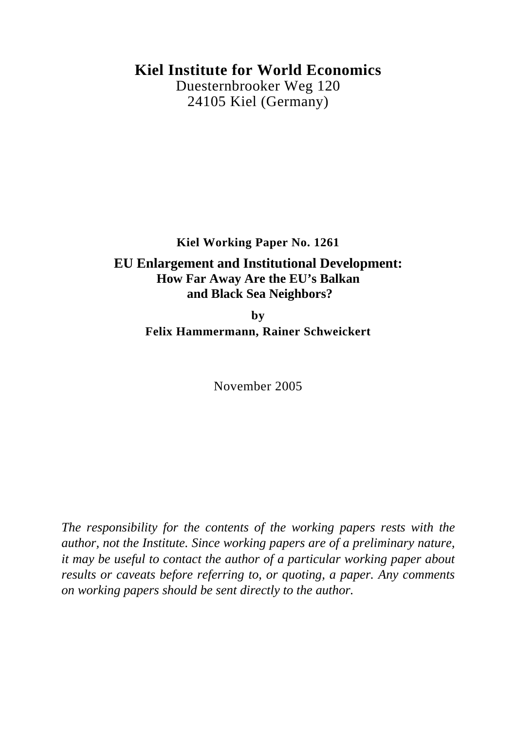# **Kiel Institute for World Economics**

Duesternbrooker Weg 120 24105 Kiel (Germany)

# **Kiel Working Paper No. 1261 EU Enlargement and Institutional Development: How Far Away Are the EU's Balkan and Black Sea Neighbors?**

**by Felix Hammermann, Rainer Schweickert** 

November 2005

*The responsibility for the contents of the working papers rests with the author, not the Institute. Since working papers are of a preliminary nature, it may be useful to contact the author of a particular working paper about results or caveats before referring to, or quoting, a paper. Any comments on working papers should be sent directly to the author.*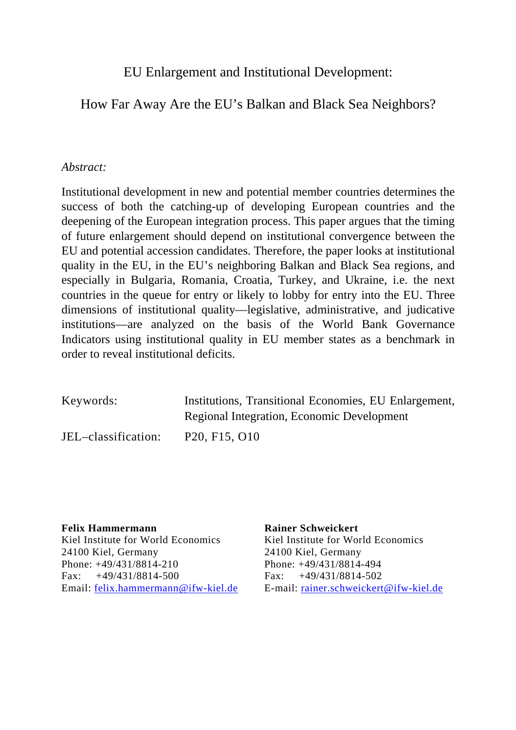# EU Enlargement and Institutional Development:

## How Far Away Are the EU's Balkan and Black Sea Neighbors?

### *Abstract:*

Institutional development in new and potential member countries determines the success of both the catching-up of developing European countries and the deepening of the European integration process. This paper argues that the timing of future enlargement should depend on institutional convergence between the EU and potential accession candidates. Therefore, the paper looks at institutional quality in the EU, in the EU's neighboring Balkan and Black Sea regions, and especially in Bulgaria, Romania, Croatia, Turkey, and Ukraine, i.e. the next countries in the queue for entry or likely to lobby for entry into the EU. Three dimensions of institutional quality—legislative, administrative, and judicative institutions—are analyzed on the basis of the World Bank Governance Indicators using institutional quality in EU member states as a benchmark in order to reveal institutional deficits.

| Keywords:           | Institutions, Transitional Economies, EU Enlargement, |
|---------------------|-------------------------------------------------------|
|                     | Regional Integration, Economic Development            |
| JEL-classification: | P <sub>20</sub> , F <sub>15</sub> , O <sub>10</sub>   |

**Felix Hammermann Rainer Schweickert**  Kiel Institute for World Economics<br>Kiel Institute for World Economics 24100 Kiel, Germany 24100 Kiel, Germany Phone: +49/431/8814-210 Phone: +49/431/8814-494 Fax: +49/431/8814-500 Fax: +49/431/8814-502

Email: [felix.hammermann@ifw-kiel.de](mailto:felix.hammermann@ifw-kiel.de) E-mail: [rainer.schweickert@ifw-kiel.de](mailto:mwiebelt@ifw-kiel.de)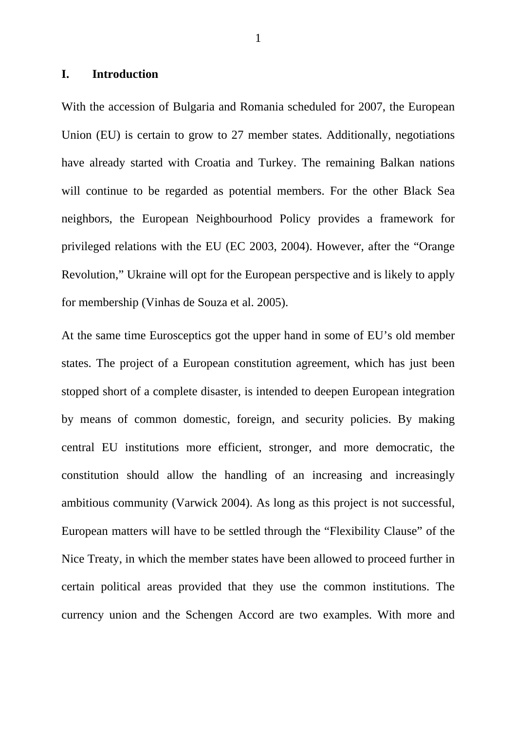### **I. Introduction**

With the accession of Bulgaria and Romania scheduled for 2007, the European Union (EU) is certain to grow to 27 member states. Additionally, negotiations have already started with Croatia and Turkey. The remaining Balkan nations will continue to be regarded as potential members. For the other Black Sea neighbors, the European Neighbourhood Policy provides a framework for privileged relations with the EU (EC 2003, 2004). However, after the "Orange Revolution," Ukraine will opt for the European perspective and is likely to apply for membership (Vinhas de Souza et al. 2005).

At the same time Eurosceptics got the upper hand in some of EU's old member states. The project of a European constitution agreement, which has just been stopped short of a complete disaster, is intended to deepen European integration by means of common domestic, foreign, and security policies. By making central EU institutions more efficient, stronger, and more democratic, the constitution should allow the handling of an increasing and increasingly ambitious community (Varwick 2004). As long as this project is not successful, European matters will have to be settled through the "Flexibility Clause" of the Nice Treaty, in which the member states have been allowed to proceed further in certain political areas provided that they use the common institutions. The currency union and the Schengen Accord are two examples. With more and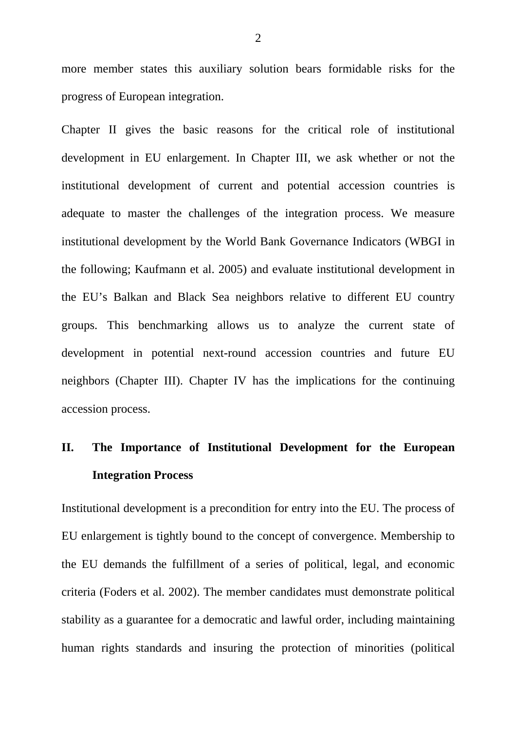more member states this auxiliary solution bears formidable risks for the progress of European integration.

Chapter II gives the basic reasons for the critical role of institutional development in EU enlargement. In Chapter III, we ask whether or not the institutional development of current and potential accession countries is adequate to master the challenges of the integration process. We measure institutional development by the World Bank Governance Indicators (WBGI in the following; Kaufmann et al. 2005) and evaluate institutional development in the EU's Balkan and Black Sea neighbors relative to different EU country groups. This benchmarking allows us to analyze the current state of development in potential next-round accession countries and future EU neighbors (Chapter III). Chapter IV has the implications for the continuing accession process.

# **II. The Importance of Institutional Development for the European Integration Process**

Institutional development is a precondition for entry into the EU. The process of EU enlargement is tightly bound to the concept of convergence. Membership to the EU demands the fulfillment of a series of political, legal, and economic criteria (Foders et al. 2002). The member candidates must demonstrate political stability as a guarantee for a democratic and lawful order, including maintaining human rights standards and insuring the protection of minorities (political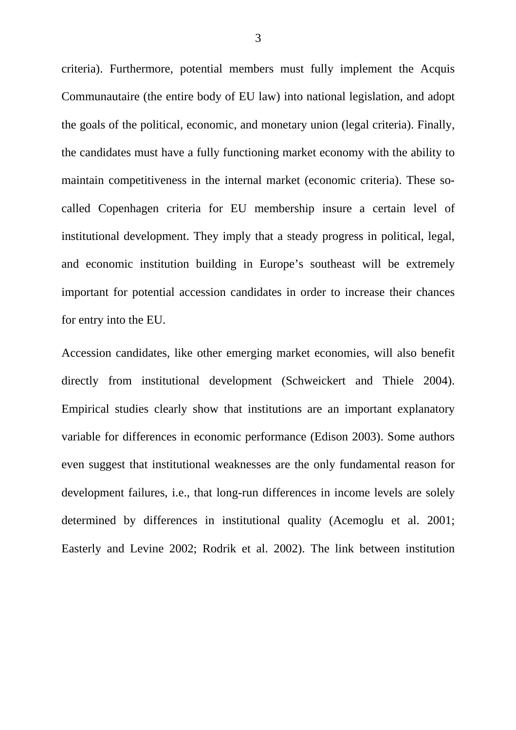criteria). Furthermore, potential members must fully implement the Acquis Communautaire (the entire body of EU law) into national legislation, and adopt the goals of the political, economic, and monetary union (legal criteria). Finally, the candidates must have a fully functioning market economy with the ability to maintain competitiveness in the internal market (economic criteria). These socalled Copenhagen criteria for EU membership insure a certain level of institutional development. They imply that a steady progress in political, legal, and economic institution building in Europe's southeast will be extremely important for potential accession candidates in order to increase their chances for entry into the EU.

Accession candidates, like other emerging market economies, will also benefit directly from institutional development (Schweickert and Thiele 2004). Empirical studies clearly show that institutions are an important explanatory variable for differences in economic performance (Edison 2003). Some authors even suggest that institutional weaknesses are the only fundamental reason for development failures, i.e., that long-run differences in income levels are solely determined by differences in institutional quality (Acemoglu et al. 2001; Easterly and Levine 2002; Rodrik et al. 2002). The link between institution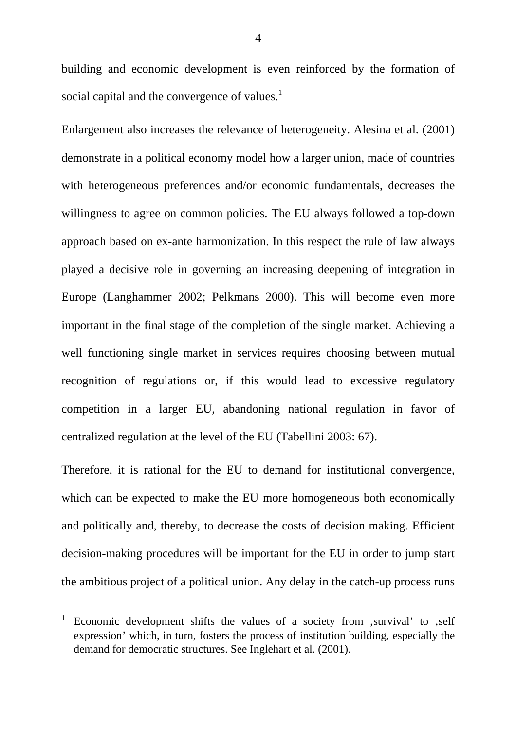building and economic development is even reinforced by the formation of social capital and the convergence of values. $<sup>1</sup>$  $<sup>1</sup>$  $<sup>1</sup>$ </sup>

Enlargement also increases the relevance of heterogeneity. Alesina et al. (2001) demonstrate in a political economy model how a larger union, made of countries with heterogeneous preferences and/or economic fundamentals, decreases the willingness to agree on common policies. The EU always followed a top-down approach based on ex-ante harmonization. In this respect the rule of law always played a decisive role in governing an increasing deepening of integration in Europe (Langhammer 2002; Pelkmans 2000). This will become even more important in the final stage of the completion of the single market. Achieving a well functioning single market in services requires choosing between mutual recognition of regulations or, if this would lead to excessive regulatory competition in a larger EU, abandoning national regulation in favor of centralized regulation at the level of the EU (Tabellini 2003: 67).

Therefore, it is rational for the EU to demand for institutional convergence, which can be expected to make the EU more homogeneous both economically and politically and, thereby, to decrease the costs of decision making. Efficient decision-making procedures will be important for the EU in order to jump start the ambitious project of a political union. Any delay in the catch-up process runs

 $\overline{a}$ 

<span id="page-5-0"></span><sup>1</sup> Economic development shifts the values of a society from survival' to self expression' which, in turn, fosters the process of institution building, especially the demand for democratic structures. See Inglehart et al. (2001).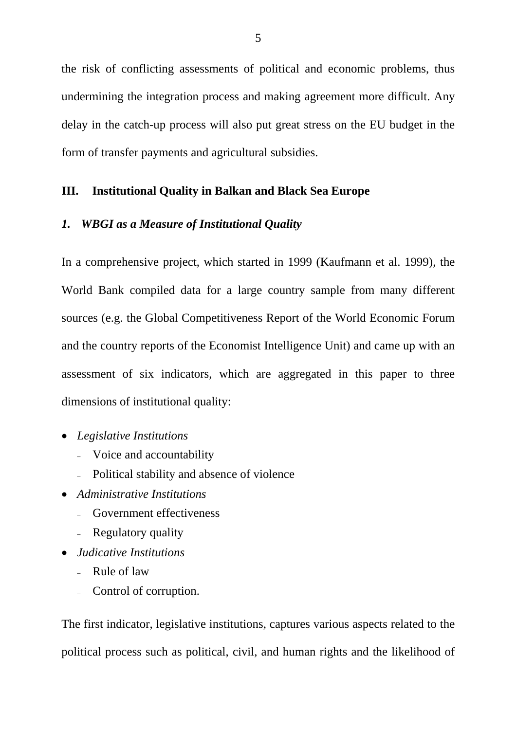the risk of conflicting assessments of political and economic problems, thus undermining the integration process and making agreement more difficult. Any delay in the catch-up process will also put great stress on the EU budget in the form of transfer payments and agricultural subsidies.

### **III. Institutional Quality in Balkan and Black Sea Europe**

### *1. WBGI as a Measure of Institutional Quality*

In a comprehensive project, which started in 1999 (Kaufmann et al. 1999), the World Bank compiled data for a large country sample from many different sources (e.g. the Global Competitiveness Report of the World Economic Forum and the country reports of the Economist Intelligence Unit) and came up with an assessment of six indicators, which are aggregated in this paper to three dimensions of institutional quality:

- *Legislative Institutions* 
	- Voice and accountability
	- Political stability and absence of violence
- *Administrative Institutions* 
	- Government effectiveness
	- Regulatory quality
- *Judicative Institutions*
	- Rule of law
	- Control of corruption.

The first indicator, legislative institutions, captures various aspects related to the political process such as political, civil, and human rights and the likelihood of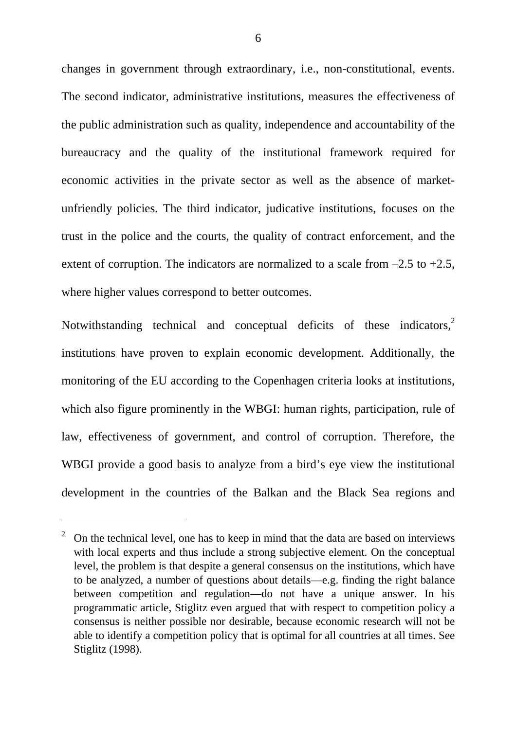changes in government through extraordinary, i.e., non-constitutional, events. The second indicator, administrative institutions, measures the effectiveness of the public administration such as quality, independence and accountability of the bureaucracy and the quality of the institutional framework required for economic activities in the private sector as well as the absence of marketunfriendly policies. The third indicator, judicative institutions, focuses on the trust in the police and the courts, the quality of contract enforcement, and the extent of corruption. The indicators are normalized to a scale from  $-2.5$  to  $+2.5$ , where higher values correspond to better outcomes.

Notwithstanding technical and conceptual deficits of these indicators,<sup>2</sup> institutions have proven to explain economic development. Additionally, the monitoring of the EU according to the Copenhagen criteria looks at institutions, which also figure prominently in the WBGI: human rights, participation, rule of law, effectiveness of government, and control of corruption. Therefore, the WBGI provide a good basis to analyze from a bird's eye view the institutional development in the countries of the Balkan and the Black Sea regions and

l

<span id="page-7-0"></span><sup>2</sup> On the technical level, one has to keep in mind that the data are based on interviews with local experts and thus include a strong subjective element. On the conceptual level, the problem is that despite a general consensus on the institutions, which have to be analyzed, a number of questions about details—e.g. finding the right balance between competition and regulation—do not have a unique answer. In his programmatic article, Stiglitz even argued that with respect to competition policy a consensus is neither possible nor desirable, because economic research will not be able to identify a competition policy that is optimal for all countries at all times. See Stiglitz (1998).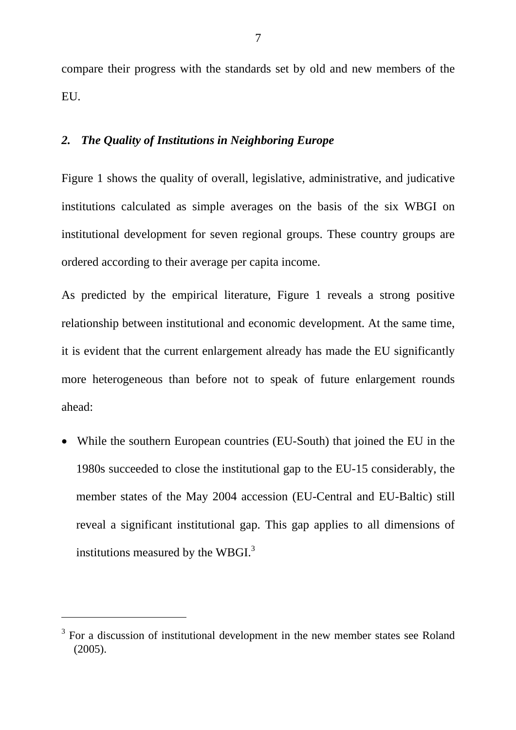compare their progress with the standards set by old and new members of the EU.

### *2. The Quality of Institutions in Neighboring Europe*

Figure 1 shows the quality of overall, legislative, administrative, and judicative institutions calculated as simple averages on the basis of the six WBGI on institutional development for seven regional groups. These country groups are ordered according to their average per capita income.

As predicted by the empirical literature, Figure 1 reveals a strong positive relationship between institutional and economic development. At the same time, it is evident that the current enlargement already has made the EU significantly more heterogeneous than before not to speak of future enlargement rounds ahead:

• While the southern European countries (EU-South) that joined the EU in the 1980s succeeded to close the institutional gap to the EU-15 considerably, the member states of the May 2004 accession (EU-Central and EU-Baltic) still reveal a significant institutional gap. This gap applies to all dimensions of institutions measured by the WBGI.<sup>[3](#page-8-0)</sup>

 $\overline{a}$ 

<span id="page-8-0"></span><sup>&</sup>lt;sup>3</sup> For a discussion of institutional development in the new member states see Roland (2005).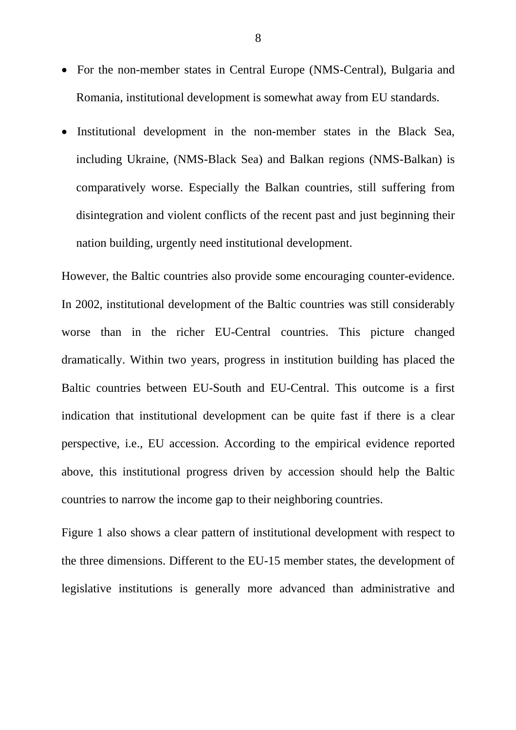- For the non-member states in Central Europe (NMS-Central), Bulgaria and Romania, institutional development is somewhat away from EU standards.
- Institutional development in the non-member states in the Black Sea, including Ukraine, (NMS-Black Sea) and Balkan regions (NMS-Balkan) is comparatively worse. Especially the Balkan countries, still suffering from disintegration and violent conflicts of the recent past and just beginning their nation building, urgently need institutional development.

However, the Baltic countries also provide some encouraging counter-evidence. In 2002, institutional development of the Baltic countries was still considerably worse than in the richer EU-Central countries. This picture changed dramatically. Within two years, progress in institution building has placed the Baltic countries between EU-South and EU-Central. This outcome is a first indication that institutional development can be quite fast if there is a clear perspective, i.e., EU accession. According to the empirical evidence reported above, this institutional progress driven by accession should help the Baltic countries to narrow the income gap to their neighboring countries.

Figure 1 also shows a clear pattern of institutional development with respect to the three dimensions. Different to the EU-15 member states, the development of legislative institutions is generally more advanced than administrative and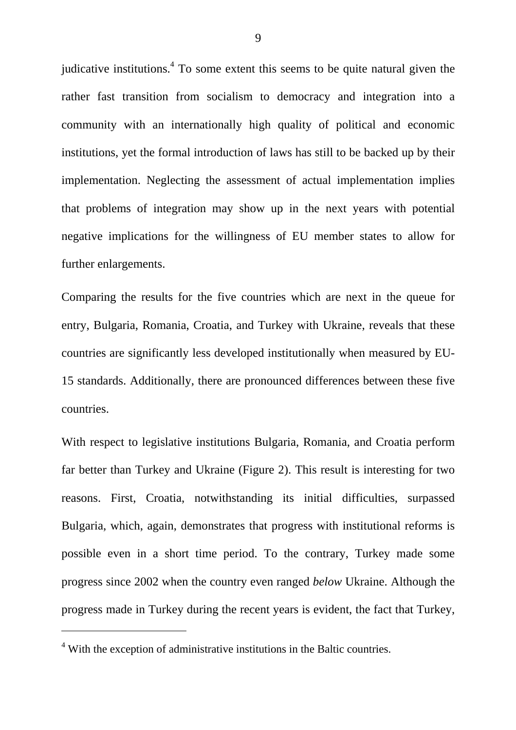judicative institutions.<sup>[4](#page-10-0)</sup> To some extent this seems to be quite natural given the rather fast transition from socialism to democracy and integration into a community with an internationally high quality of political and economic institutions, yet the formal introduction of laws has still to be backed up by their implementation. Neglecting the assessment of actual implementation implies that problems of integration may show up in the next years with potential negative implications for the willingness of EU member states to allow for further enlargements.

Comparing the results for the five countries which are next in the queue for entry, Bulgaria, Romania, Croatia, and Turkey with Ukraine, reveals that these countries are significantly less developed institutionally when measured by EU-15 standards. Additionally, there are pronounced differences between these five countries.

With respect to legislative institutions Bulgaria, Romania, and Croatia perform far better than Turkey and Ukraine (Figure 2). This result is interesting for two reasons. First, Croatia, notwithstanding its initial difficulties, surpassed Bulgaria, which, again, demonstrates that progress with institutional reforms is possible even in a short time period. To the contrary, Turkey made some progress since 2002 when the country even ranged *below* Ukraine. Although the progress made in Turkey during the recent years is evident, the fact that Turkey,

 $\overline{a}$ 

<span id="page-10-0"></span><sup>&</sup>lt;sup>4</sup> With the exception of administrative institutions in the Baltic countries.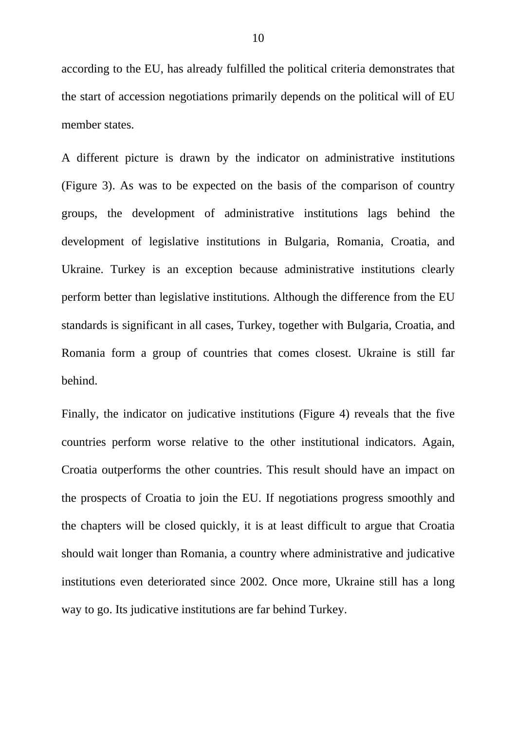according to the EU, has already fulfilled the political criteria demonstrates that the start of accession negotiations primarily depends on the political will of EU member states.

A different picture is drawn by the indicator on administrative institutions (Figure 3). As was to be expected on the basis of the comparison of country groups, the development of administrative institutions lags behind the development of legislative institutions in Bulgaria, Romania, Croatia, and Ukraine. Turkey is an exception because administrative institutions clearly perform better than legislative institutions. Although the difference from the EU standards is significant in all cases, Turkey, together with Bulgaria, Croatia, and Romania form a group of countries that comes closest. Ukraine is still far behind.

Finally, the indicator on judicative institutions (Figure 4) reveals that the five countries perform worse relative to the other institutional indicators. Again, Croatia outperforms the other countries. This result should have an impact on the prospects of Croatia to join the EU. If negotiations progress smoothly and the chapters will be closed quickly, it is at least difficult to argue that Croatia should wait longer than Romania, a country where administrative and judicative institutions even deteriorated since 2002. Once more, Ukraine still has a long way to go. Its judicative institutions are far behind Turkey.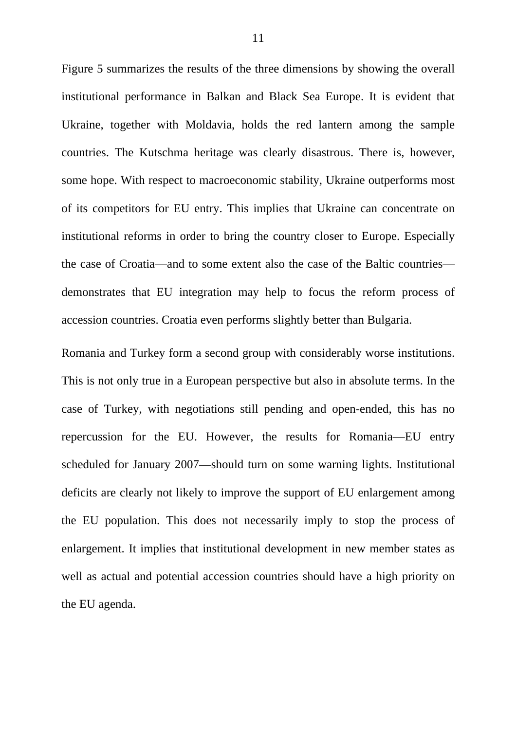Figure 5 summarizes the results of the three dimensions by showing the overall institutional performance in Balkan and Black Sea Europe. It is evident that Ukraine, together with Moldavia, holds the red lantern among the sample countries. The Kutschma heritage was clearly disastrous. There is, however, some hope. With respect to macroeconomic stability, Ukraine outperforms most of its competitors for EU entry. This implies that Ukraine can concentrate on institutional reforms in order to bring the country closer to Europe. Especially the case of Croatia—and to some extent also the case of the Baltic countries demonstrates that EU integration may help to focus the reform process of accession countries. Croatia even performs slightly better than Bulgaria.

Romania and Turkey form a second group with considerably worse institutions. This is not only true in a European perspective but also in absolute terms. In the case of Turkey, with negotiations still pending and open-ended, this has no repercussion for the EU. However, the results for Romania—EU entry scheduled for January 2007—should turn on some warning lights. Institutional deficits are clearly not likely to improve the support of EU enlargement among the EU population. This does not necessarily imply to stop the process of enlargement. It implies that institutional development in new member states as well as actual and potential accession countries should have a high priority on the EU agenda.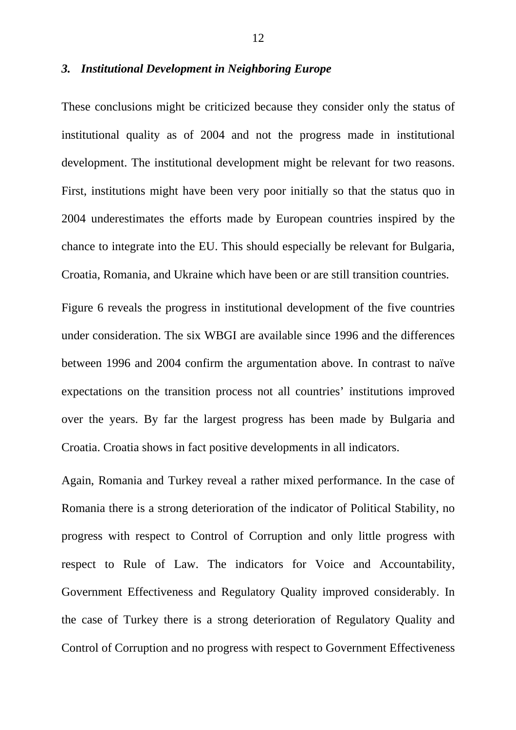### *3. Institutional Development in Neighboring Europe*

These conclusions might be criticized because they consider only the status of institutional quality as of 2004 and not the progress made in institutional development. The institutional development might be relevant for two reasons. First, institutions might have been very poor initially so that the status quo in 2004 underestimates the efforts made by European countries inspired by the chance to integrate into the EU. This should especially be relevant for Bulgaria, Croatia, Romania, and Ukraine which have been or are still transition countries.

Figure 6 reveals the progress in institutional development of the five countries under consideration. The six WBGI are available since 1996 and the differences between 1996 and 2004 confirm the argumentation above. In contrast to naïve expectations on the transition process not all countries' institutions improved over the years. By far the largest progress has been made by Bulgaria and Croatia. Croatia shows in fact positive developments in all indicators.

Again, Romania and Turkey reveal a rather mixed performance. In the case of Romania there is a strong deterioration of the indicator of Political Stability, no progress with respect to Control of Corruption and only little progress with respect to Rule of Law. The indicators for Voice and Accountability, Government Effectiveness and Regulatory Quality improved considerably. In the case of Turkey there is a strong deterioration of Regulatory Quality and Control of Corruption and no progress with respect to Government Effectiveness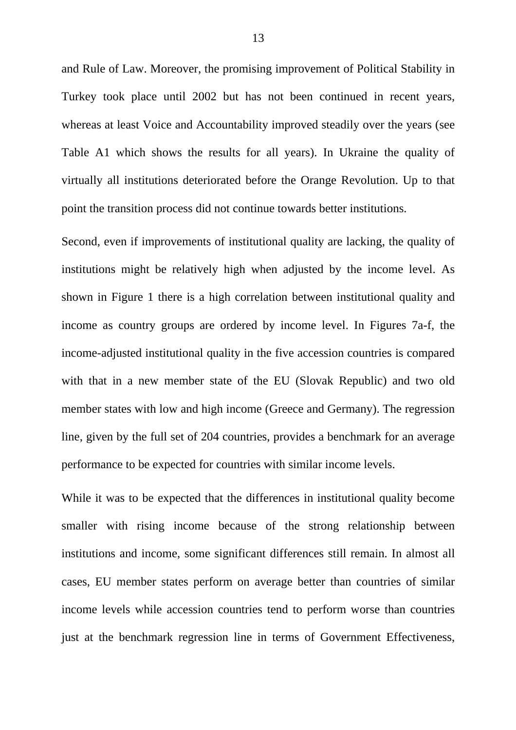and Rule of Law. Moreover, the promising improvement of Political Stability in Turkey took place until 2002 but has not been continued in recent years, whereas at least Voice and Accountability improved steadily over the years (see Table A1 which shows the results for all years). In Ukraine the quality of virtually all institutions deteriorated before the Orange Revolution. Up to that point the transition process did not continue towards better institutions.

Second, even if improvements of institutional quality are lacking, the quality of institutions might be relatively high when adjusted by the income level. As shown in Figure 1 there is a high correlation between institutional quality and income as country groups are ordered by income level. In Figures 7a-f, the income-adjusted institutional quality in the five accession countries is compared with that in a new member state of the EU (Slovak Republic) and two old member states with low and high income (Greece and Germany). The regression line, given by the full set of 204 countries, provides a benchmark for an average performance to be expected for countries with similar income levels.

While it was to be expected that the differences in institutional quality become smaller with rising income because of the strong relationship between institutions and income, some significant differences still remain. In almost all cases, EU member states perform on average better than countries of similar income levels while accession countries tend to perform worse than countries just at the benchmark regression line in terms of Government Effectiveness,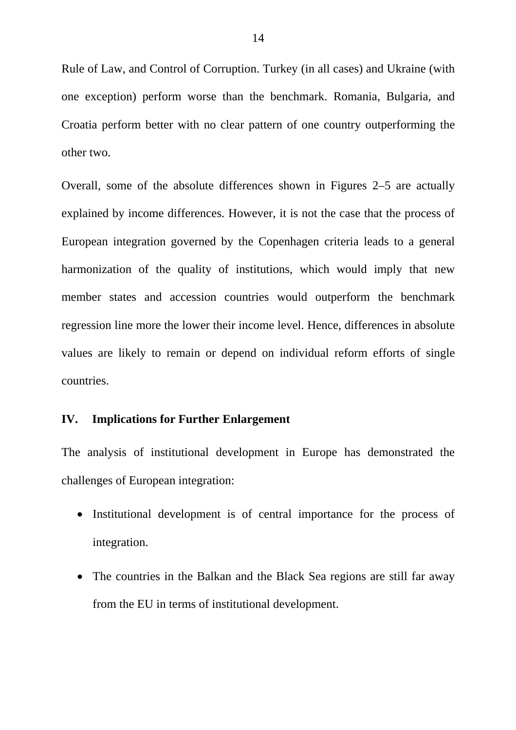Rule of Law, and Control of Corruption. Turkey (in all cases) and Ukraine (with one exception) perform worse than the benchmark. Romania, Bulgaria, and Croatia perform better with no clear pattern of one country outperforming the other two.

Overall, some of the absolute differences shown in Figures 2–5 are actually explained by income differences. However, it is not the case that the process of European integration governed by the Copenhagen criteria leads to a general harmonization of the quality of institutions, which would imply that new member states and accession countries would outperform the benchmark regression line more the lower their income level. Hence, differences in absolute values are likely to remain or depend on individual reform efforts of single countries.

### **IV. Implications for Further Enlargement**

The analysis of institutional development in Europe has demonstrated the challenges of European integration:

- Institutional development is of central importance for the process of integration.
- The countries in the Balkan and the Black Sea regions are still far away from the EU in terms of institutional development.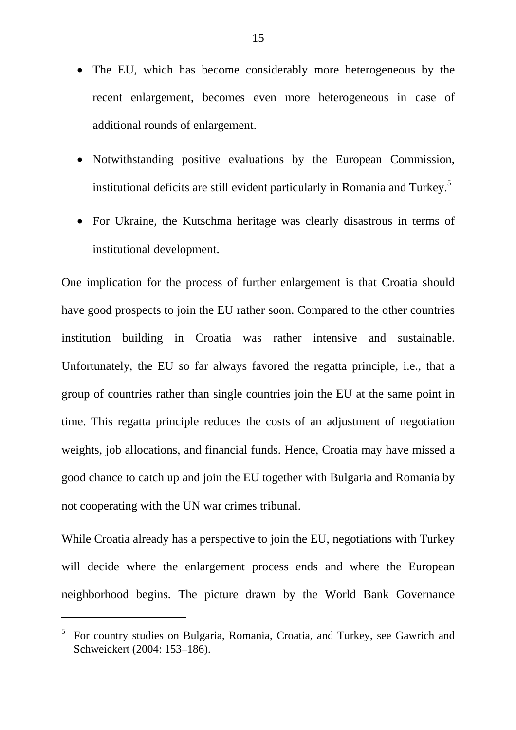- The EU, which has become considerably more heterogeneous by the recent enlargement, becomes even more heterogeneous in case of additional rounds of enlargement.
- Notwithstanding positive evaluations by the European Commission, institutional deficits are still evident particularly in Romania and Turkey.[5](#page-16-0)
- For Ukraine, the Kutschma heritage was clearly disastrous in terms of institutional development.

One implication for the process of further enlargement is that Croatia should have good prospects to join the EU rather soon. Compared to the other countries institution building in Croatia was rather intensive and sustainable. Unfortunately, the EU so far always favored the regatta principle, i.e., that a group of countries rather than single countries join the EU at the same point in time. This regatta principle reduces the costs of an adjustment of negotiation weights, job allocations, and financial funds. Hence, Croatia may have missed a good chance to catch up and join the EU together with Bulgaria and Romania by not cooperating with the UN war crimes tribunal.

While Croatia already has a perspective to join the EU, negotiations with Turkey will decide where the enlargement process ends and where the European neighborhood begins. The picture drawn by the World Bank Governance

 $\overline{a}$ 

<span id="page-16-0"></span><sup>&</sup>lt;sup>5</sup> For country studies on Bulgaria, Romania, Croatia, and Turkey, see Gawrich and Schweickert (2004: 153–186).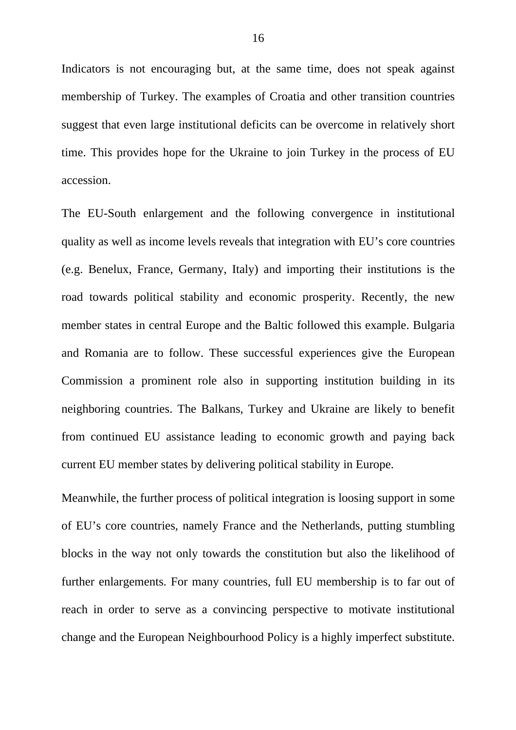Indicators is not encouraging but, at the same time, does not speak against membership of Turkey. The examples of Croatia and other transition countries suggest that even large institutional deficits can be overcome in relatively short time. This provides hope for the Ukraine to join Turkey in the process of EU accession.

The EU-South enlargement and the following convergence in institutional quality as well as income levels reveals that integration with EU's core countries (e.g. Benelux, France, Germany, Italy) and importing their institutions is the road towards political stability and economic prosperity. Recently, the new member states in central Europe and the Baltic followed this example. Bulgaria and Romania are to follow. These successful experiences give the European Commission a prominent role also in supporting institution building in its neighboring countries. The Balkans, Turkey and Ukraine are likely to benefit from continued EU assistance leading to economic growth and paying back current EU member states by delivering political stability in Europe.

Meanwhile, the further process of political integration is loosing support in some of EU's core countries, namely France and the Netherlands, putting stumbling blocks in the way not only towards the constitution but also the likelihood of further enlargements. For many countries, full EU membership is to far out of reach in order to serve as a convincing perspective to motivate institutional change and the European Neighbourhood Policy is a highly imperfect substitute.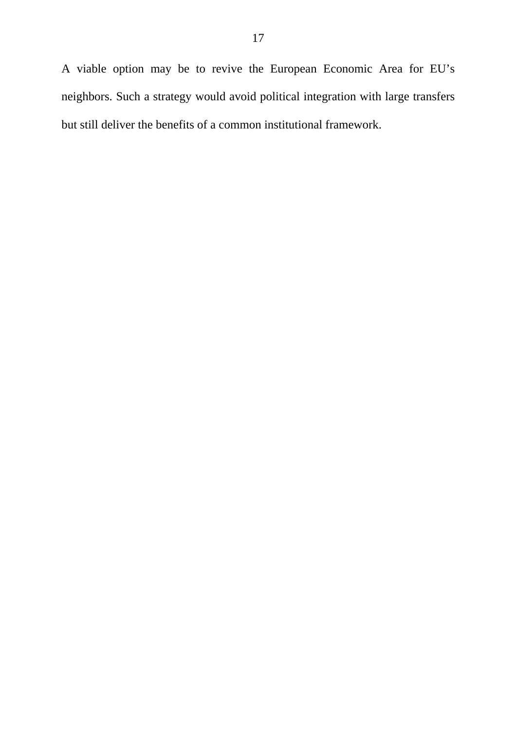A viable option may be to revive the European Economic Area for EU's neighbors. Such a strategy would avoid political integration with large transfers but still deliver the benefits of a common institutional framework.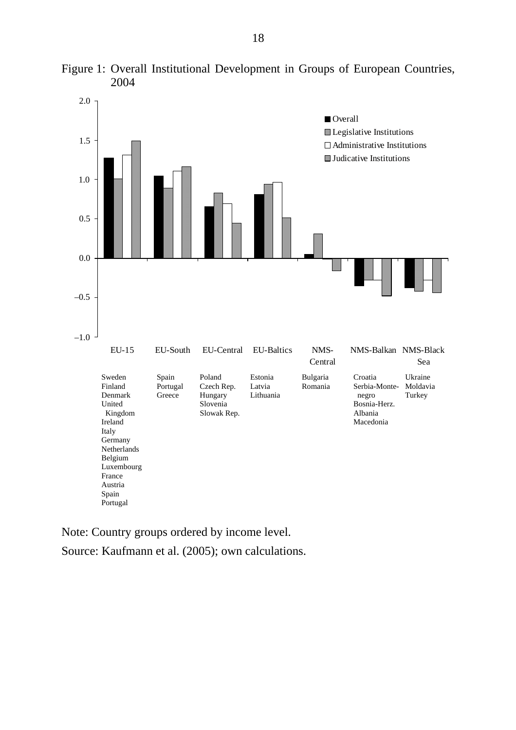

Figure 1: Overall Institutional Development in Groups of European Countries, 2004

Note: Country groups ordered by income level.

Source: Kaufmann et al. (2005); own calculations.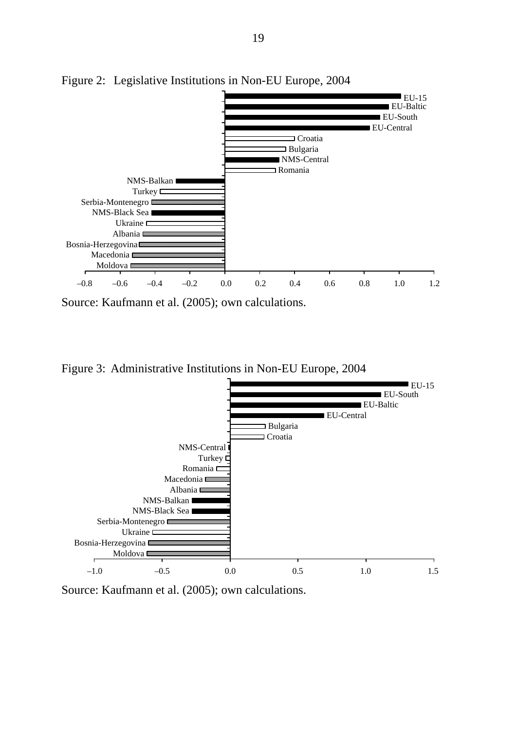

Figure 2: Legislative Institutions in Non-EU Europe, 2004

Source: Kaufmann et al. (2005); own calculations.

Figure 3: Administrative Institutions in Non-EU Europe, 2004



Source: Kaufmann et al. (2005); own calculations.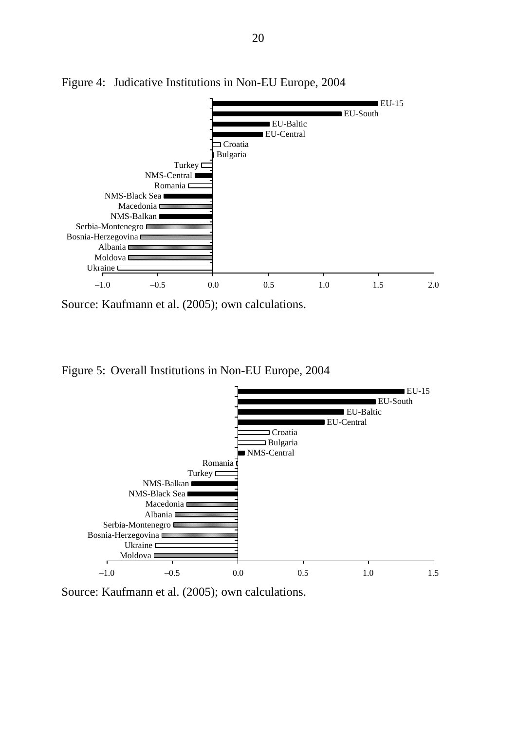

Figure 4: Judicative Institutions in Non-EU Europe, 2004

Source: Kaufmann et al. (2005); own calculations.

Figure 5: Overall Institutions in Non-EU Europe, 2004



Source: Kaufmann et al. (2005); own calculations.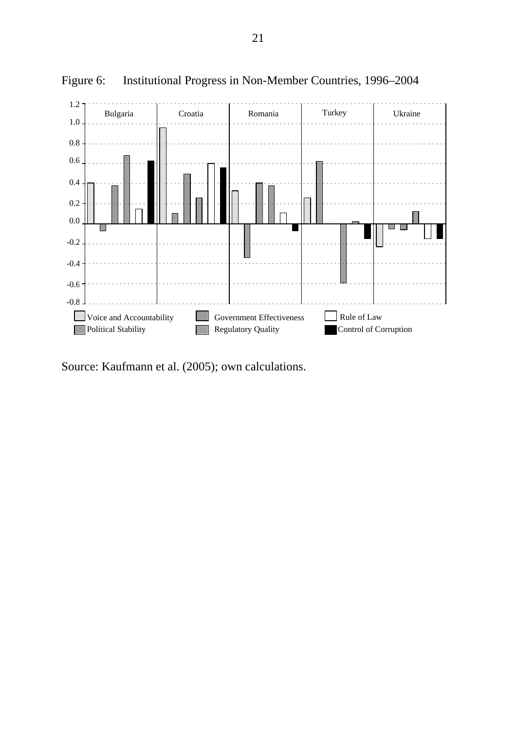

Figure 6: Institutional Progress in Non-Member Countries, 1996–2004

Source: Kaufmann et al. (2005); own calculations.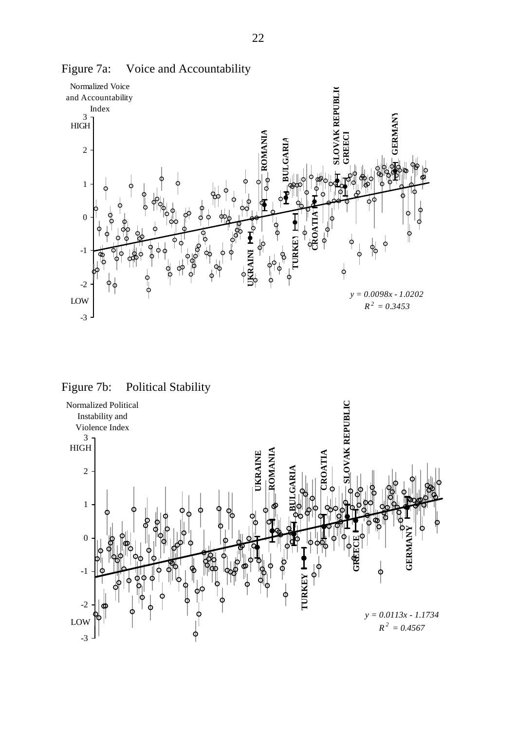

Figure 7a: Voice and Accountability

Figure 7b: Political Stability

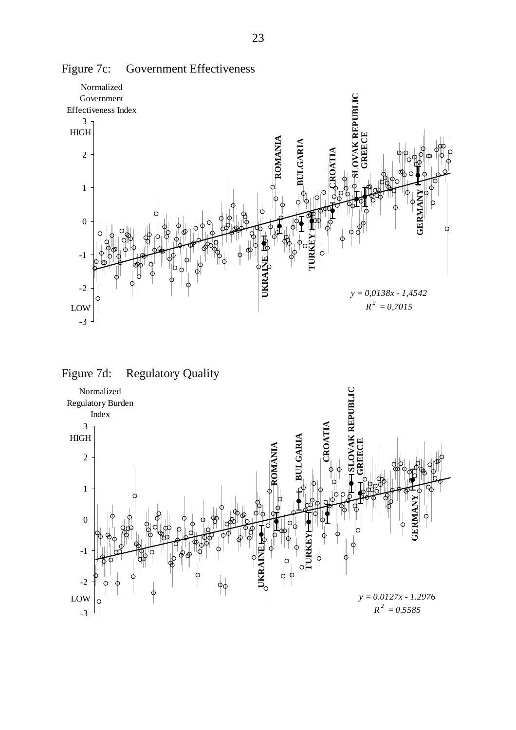

Figure 7c: Government Effectiveness



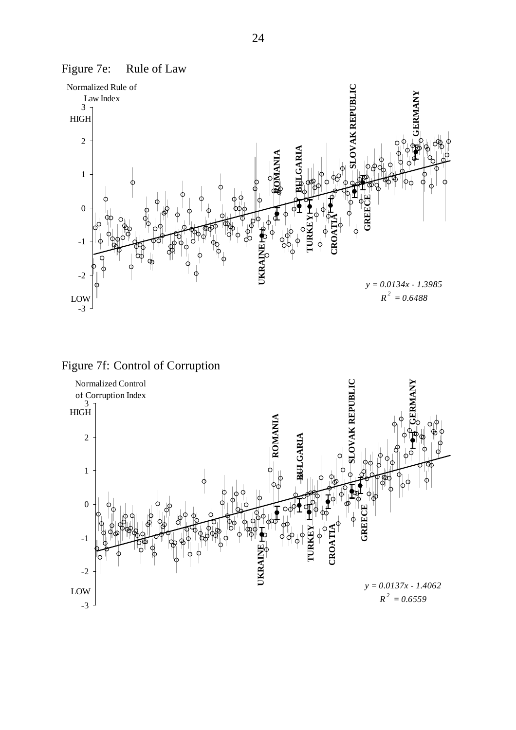

Figure 7e: Rule of Law



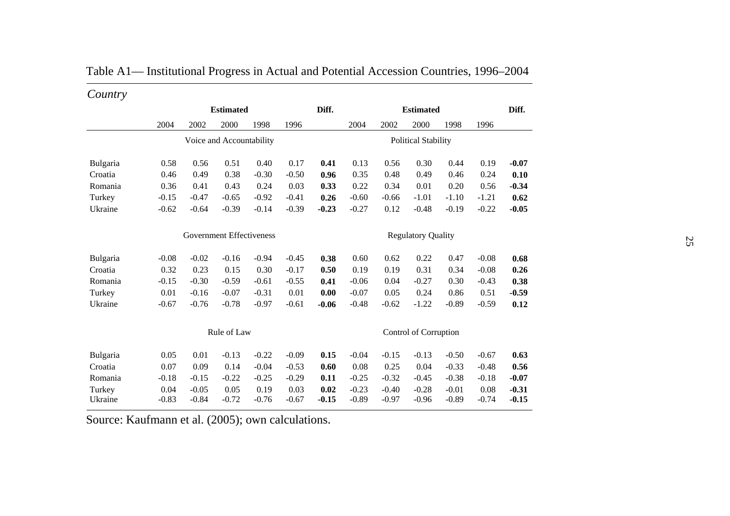| Country  |                                 |         |                          |         |         |         |                           |         |                            |         |         |         |
|----------|---------------------------------|---------|--------------------------|---------|---------|---------|---------------------------|---------|----------------------------|---------|---------|---------|
|          |                                 |         | <b>Estimated</b>         |         |         | Diff.   |                           |         | <b>Estimated</b>           |         |         | Diff.   |
|          | 2004                            | 2002    | 2000                     | 1998    | 1996    |         | 2004                      | 2002    | 2000                       | 1998    | 1996    |         |
|          |                                 |         | Voice and Accountability |         |         |         |                           |         | <b>Political Stability</b> |         |         |         |
| Bulgaria | 0.58                            | 0.56    | 0.51                     | 0.40    | 0.17    | 0.41    | 0.13                      | 0.56    | 0.30                       | 0.44    | 0.19    | $-0.07$ |
| Croatia  | 0.46                            | 0.49    | 0.38                     | $-0.30$ | $-0.50$ | 0.96    | 0.35                      | 0.48    | 0.49                       | 0.46    | 0.24    | 0.10    |
| Romania  | 0.36                            | 0.41    | 0.43                     | 0.24    | 0.03    | 0.33    | 0.22                      | 0.34    | 0.01                       | 0.20    | 0.56    | $-0.34$ |
| Turkey   | $-0.15$                         | $-0.47$ | $-0.65$                  | $-0.92$ | $-0.41$ | 0.26    | $-0.60$                   | $-0.66$ | $-1.01$                    | $-1.10$ | $-1.21$ | 0.62    |
| Ukraine  | $-0.62$                         | $-0.64$ | $-0.39$                  | $-0.14$ | $-0.39$ | $-0.23$ | $-0.27$                   | 0.12    | $-0.48$                    | $-0.19$ | $-0.22$ | $-0.05$ |
|          | <b>Government Effectiveness</b> |         |                          |         |         |         | <b>Regulatory Quality</b> |         |                            |         |         |         |
| Bulgaria | $-0.08$                         | $-0.02$ | $-0.16$                  | $-0.94$ | $-0.45$ | 0.38    | 0.60                      | 0.62    | 0.22                       | 0.47    | $-0.08$ | 0.68    |
| Croatia  | 0.32                            | 0.23    | 0.15                     | 0.30    | $-0.17$ | 0.50    | 0.19                      | 0.19    | 0.31                       | 0.34    | $-0.08$ | 0.26    |
| Romania  | $-0.15$                         | $-0.30$ | $-0.59$                  | $-0.61$ | $-0.55$ | 0.41    | $-0.06$                   | 0.04    | $-0.27$                    | 0.30    | $-0.43$ | 0.38    |
| Turkey   | 0.01                            | $-0.16$ | $-0.07$                  | $-0.31$ | 0.01    | 0.00    | $-0.07$                   | 0.05    | 0.24                       | 0.86    | 0.51    | $-0.59$ |
| Ukraine  | $-0.67$                         | $-0.76$ | $-0.78$                  | $-0.97$ | $-0.61$ | $-0.06$ | $-0.48$                   | $-0.62$ | $-1.22$                    | $-0.89$ | $-0.59$ | 0.12    |
|          | Rule of Law                     |         |                          |         |         |         | Control of Corruption     |         |                            |         |         |         |
| Bulgaria | 0.05                            | 0.01    | $-0.13$                  | $-0.22$ | $-0.09$ | 0.15    | $-0.04$                   | $-0.15$ | $-0.13$                    | $-0.50$ | $-0.67$ | 0.63    |
| Croatia  | 0.07                            | 0.09    | 0.14                     | $-0.04$ | $-0.53$ | 0.60    | 0.08                      | 0.25    | 0.04                       | $-0.33$ | $-0.48$ | 0.56    |
| Romania  | $-0.18$                         | $-0.15$ | $-0.22$                  | $-0.25$ | $-0.29$ | 0.11    | $-0.25$                   | $-0.32$ | $-0.45$                    | $-0.38$ | $-0.18$ | $-0.07$ |
| Turkey   | 0.04                            | $-0.05$ | 0.05                     | 0.19    | 0.03    | 0.02    | $-0.23$                   | $-0.40$ | $-0.28$                    | $-0.01$ | 0.08    | $-0.31$ |
| Ukraine  | $-0.83$                         | $-0.84$ | $-0.72$                  | $-0.76$ | $-0.67$ | $-0.15$ | $-0.89$                   | $-0.97$ | $-0.96$                    | $-0.89$ | $-0.74$ | $-0.15$ |

| Table A1— Institutional Progress in Actual and Potential Accession Countries, 1996–2004 |  |  |  |  |  |  |  |  |  |
|-----------------------------------------------------------------------------------------|--|--|--|--|--|--|--|--|--|
|-----------------------------------------------------------------------------------------|--|--|--|--|--|--|--|--|--|

Source: Kaufmann et al. (2005); own calculations.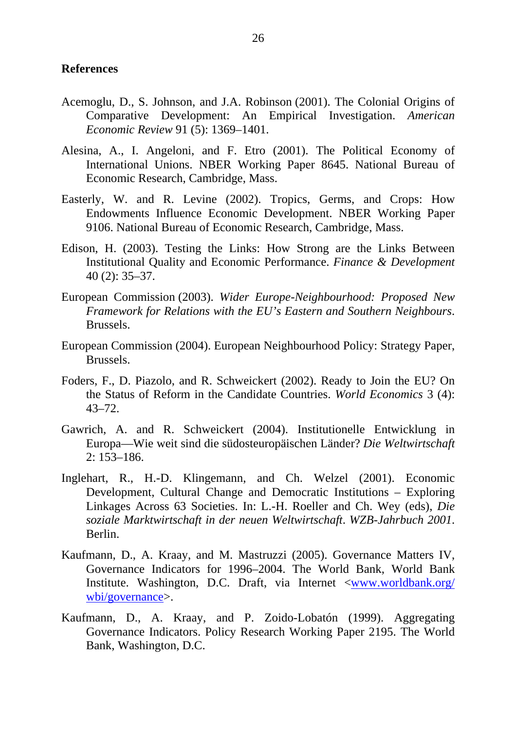### **References**

- Acemoglu, D., S. Johnson, and J.A. Robinson (2001). The Colonial Origins of Comparative Development: An Empirical Investigation. *American Economic Review* 91 (5): 1369–1401.
- Alesina, A., I. Angeloni, and F. Etro (2001). The Political Economy of International Unions. NBER Working Paper 8645. National Bureau of Economic Research, Cambridge, Mass.
- Easterly, W. and R. Levine (2002). Tropics, Germs, and Crops: How Endowments Influence Economic Development. NBER Working Paper 9106. National Bureau of Economic Research, Cambridge, Mass.
- Edison, H. (2003). Testing the Links: How Strong are the Links Between Institutional Quality and Economic Performance. *Finance & Development* 40 (2): 35–37.
- European Commission (2003). *Wider Europe-Neighbourhood: Proposed New Framework for Relations with the EU's Eastern and Southern Neighbours*. Brussels.
- European Commission (2004). European Neighbourhood Policy: Strategy Paper, Brussels.
- Foders, F., D. Piazolo, and R. Schweickert (2002). Ready to Join the EU? On the Status of Reform in the Candidate Countries. *World Economics* 3 (4): 43–72.
- Gawrich, A. and R. Schweickert (2004). Institutionelle Entwicklung in Europa—Wie weit sind die südosteuropäischen Länder? *Die Weltwirtschaft* 2: 153–186.
- Inglehart, R., H.-D. Klingemann, and Ch. Welzel (2001). Economic Development, Cultural Change and Democratic Institutions – Exploring Linkages Across 63 Societies. In: L.-H. Roeller and Ch. Wey (eds), *Die soziale Marktwirtschaft in der neuen Weltwirtschaft*. *WZB-Jahrbuch 2001*. Berlin.
- Kaufmann, D., A. Kraay, and M. Mastruzzi (2005). Governance Matters IV, Governance Indicators for 1996–2004. The World Bank, World Bank Institute. Washington, D.C. Draft, via Internet <[www.worldbank.org/](http://www.worldbank.org/wbi/governance) [wbi/governance>](http://www.worldbank.org/wbi/governance).
- Kaufmann, D., A. Kraay, and P. Zoido-Lobatón (1999). Aggregating Governance Indicators. Policy Research Working Paper 2195. The World Bank, Washington, D.C.